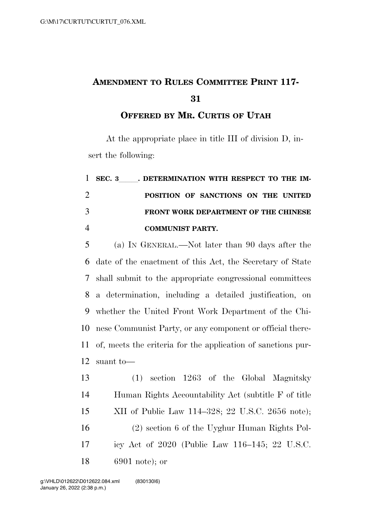## **AMENDMENT TO RULES COMMITTEE PRINT 117-**

#### **OFFERED BY MR. CURTIS OF UTAH**

At the appropriate place in title III of division D, insert the following:

# 1 SEC. 3 DETERMINATION WITH RESPECT TO THE IM- **POSITION OF SANCTIONS ON THE UNITED FRONT WORK DEPARTMENT OF THE CHINESE COMMUNIST PARTY.**

 (a) IN GENERAL.—Not later than 90 days after the date of the enactment of this Act, the Secretary of State shall submit to the appropriate congressional committees a determination, including a detailed justification, on whether the United Front Work Department of the Chi- nese Communist Party, or any component or official there- of, meets the criteria for the application of sanctions pur-suant to—

 (1) section 1263 of the Global Magnitsky Human Rights Accountability Act (subtitle F of title XII of Public Law 114–328; 22 U.S.C. 2656 note); (2) section 6 of the Uyghur Human Rights Pol- icy Act of 2020 (Public Law 116–145; 22 U.S.C. 6901 note); or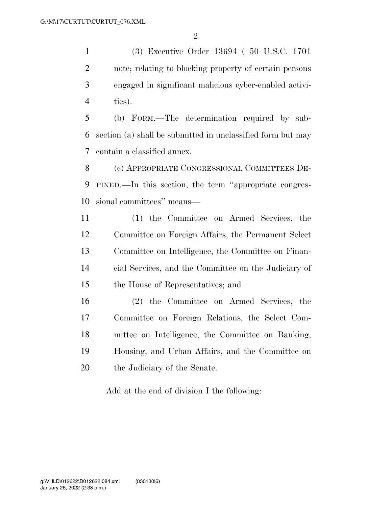(3) Executive Order 13694 ( 50 U.S.C. 1701 note; relating to blocking property of certain persons engaged in significant malicious cyber-enabled activi-ties).

 (b) FORM.—The determination required by sub- section (a) shall be submitted in unclassified form but may contain a classified annex.

 (c) APPROPRIATE CONGRESSIONAL COMMITTEES DE- FINED.—In this section, the term ''appropriate congres-sional committees'' means—

 (1) the Committee on Armed Services, the Committee on Foreign Affairs, the Permanent Select Committee on Intelligence, the Committee on Finan- cial Services, and the Committee on the Judiciary of the House of Representatives; and

 (2) the Committee on Armed Services, the Committee on Foreign Relations, the Select Com- mittee on Intelligence, the Committee on Banking, Housing, and Urban Affairs, and the Committee on the Judiciary of the Senate.

Add at the end of division I the following: